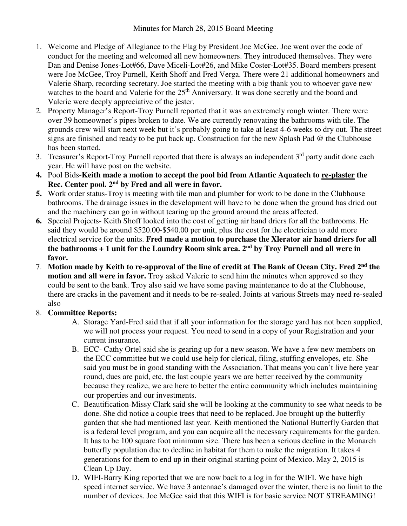- 1. Welcome and Pledge of Allegiance to the Flag by President Joe McGee. Joe went over the code of conduct for the meeting and welcomed all new homeowners. They introduced themselves. They were Dan and Denise Jones-Lot#66, Dave Miceli-Lot#26, and Mike Coster-Lot#35. Board members present were Joe McGee, Troy Purnell, Keith Shoff and Fred Verga. There were 21 additional homeowners and Valerie Sharp, recording secretary. Joe started the meeting with a big thank you to whoever gave new watches to the board and Valerie for the 25<sup>th</sup> Anniversary. It was done secretly and the board and Valerie were deeply appreciative of the jester.
- 2. Property Manager's Report-Troy Purnell reported that it was an extremely rough winter. There were over 39 homeowner's pipes broken to date. We are currently renovating the bathrooms with tile. The grounds crew will start next week but it's probably going to take at least 4-6 weeks to dry out. The street signs are finished and ready to be put back up. Construction for the new Splash Pad @ the Clubhouse has been started.
- 3. Treasurer's Report-Troy Purnell reported that there is always an independent  $3<sup>rd</sup>$  party audit done each year. He will have post on the website.
- **4.** Pool Bids-**Keith made a motion to accept the pool bid from Atlantic Aquatech to re-plaster the Rec. Center pool. 2nd by Fred and all were in favor.**
- **5.** Work order status-Troy is meeting with tile man and plumber for work to be done in the Clubhouse bathrooms. The drainage issues in the development will have to be done when the ground has dried out and the machinery can go in without tearing up the ground around the areas affected.
- **6.** Special Projects- Keith Shoff looked into the cost of getting air hand driers for all the bathrooms. He said they would be around \$520.00-\$540.00 per unit, plus the cost for the electrician to add more electrical service for the units. **Fred made a motion to purchase the Xlerator air hand driers for all the bathrooms + 1 unit for the Laundry Room sink area. 2nd by Troy Purnell and all were in favor.**
- 7. **Motion made by Keith to re-approval of the line of credit at The Bank of Ocean City. Fred 2nd the motion and all were in favor.** Troy asked Valerie to send him the minutes when approved so they could be sent to the bank. Troy also said we have some paving maintenance to do at the Clubhouse, there are cracks in the pavement and it needs to be re-sealed. Joints at various Streets may need re-sealed also
- 8. **Committee Reports:**
	- A. Storage Yard-Fred said that if all your information for the storage yard has not been supplied, we will not process your request. You need to send in a copy of your Registration and your current insurance.
	- B. ECC- Cathy Ortel said she is gearing up for a new season. We have a few new members on the ECC committee but we could use help for clerical, filing, stuffing envelopes, etc. She said you must be in good standing with the Association. That means you can't live here year round, dues are paid, etc. the last couple years we are better received by the community because they realize, we are here to better the entire community which includes maintaining our properties and our investments.
	- C. Beautification-Missy Clark said she will be looking at the community to see what needs to be done. She did notice a couple trees that need to be replaced. Joe brought up the butterfly garden that she had mentioned last year. Keith mentioned the National Butterfly Garden that is a federal level program, and you can acquire all the necessary requirements for the garden. It has to be 100 square foot minimum size. There has been a serious decline in the Monarch butterfly population due to decline in habitat for them to make the migration. It takes 4 generations for them to end up in their original starting point of Mexico. May 2, 2015 is Clean Up Day.
	- D. WIFI-Barry King reported that we are now back to a log in for the WIFI. We have high speed internet service. We have 3 antennae's damaged over the winter, there is no limit to the number of devices. Joe McGee said that this WIFI is for basic service NOT STREAMING!